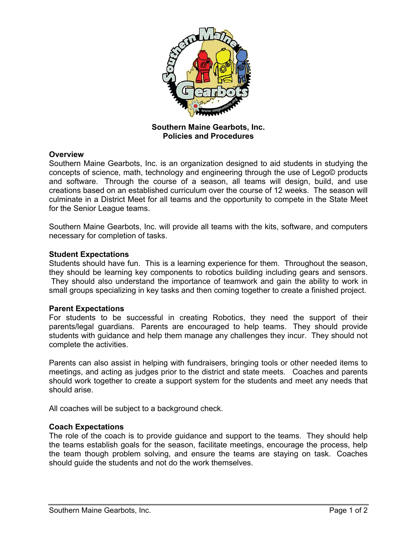

**Southern Maine Gearbots, Inc. Policies and Procedures**

## **Overview**

Southern Maine Gearbots, Inc. is an organization designed to aid students in studying the concepts of science, math, technology and engineering through the use of Lego© products and software. Through the course of a season, all teams will design, build, and use creations based on an established curriculum over the course of 12 weeks. The season will culminate in a District Meet for all teams and the opportunity to compete in the State Meet for the Senior League teams.

Southern Maine Gearbots, Inc. will provide all teams with the kits, software, and computers necessary for completion of tasks.

### **Student Expectations**

Students should have fun. This is a learning experience for them. Throughout the season, they should be learning key components to robotics building including gears and sensors. They should also understand the importance of teamwork and gain the ability to work in small groups specializing in key tasks and then coming together to create a finished project.

#### **Parent Expectations**

For students to be successful in creating Robotics, they need the support of their parents/legal guardians. Parents are encouraged to help teams. They should provide students with guidance and help them manage any challenges they incur. They should not complete the activities.

Parents can also assist in helping with fundraisers, bringing tools or other needed items to meetings, and acting as judges prior to the district and state meets. Coaches and parents should work together to create a support system for the students and meet any needs that should arise.

All coaches will be subject to a background check.

#### **Coach Expectations**

The role of the coach is to provide guidance and support to the teams. They should help the teams establish goals for the season, facilitate meetings, encourage the process, help the team though problem solving, and ensure the teams are staying on task. Coaches should guide the students and not do the work themselves.